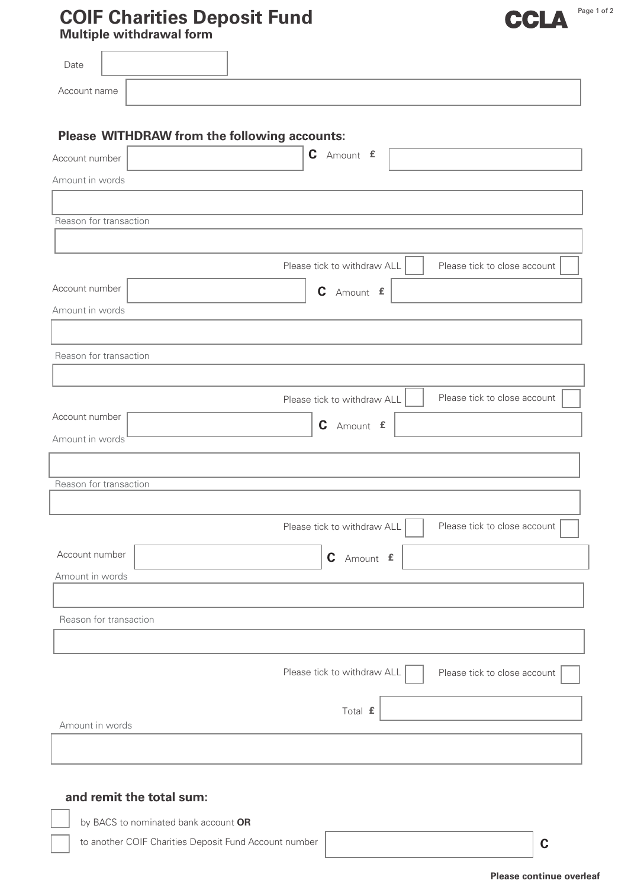## **COIF Charities Deposit Fund**

**Multiple withdrawal form**

| mando mando                                  |                                                             |
|----------------------------------------------|-------------------------------------------------------------|
| Date                                         |                                                             |
| Account name                                 |                                                             |
|                                              |                                                             |
| Please WITHDRAW from the following accounts: |                                                             |
| Account number                               | C Amount £                                                  |
| Amount in words                              |                                                             |
| Reason for transaction                       |                                                             |
|                                              |                                                             |
|                                              | Please tick to withdraw ALL<br>Please tick to close account |
| Account number                               | C Amount £                                                  |
| Amount in words                              |                                                             |
|                                              |                                                             |
| Reason for transaction                       |                                                             |
|                                              |                                                             |
| Account number                               | Please tick to close account<br>Please tick to withdraw ALL |
| Amount in words                              | C Amount £                                                  |
|                                              |                                                             |
| Reason for transaction                       |                                                             |
|                                              |                                                             |
|                                              | Please tick to withdraw ALL<br>Please tick to close account |
| Account number                               | C Amount £                                                  |
| Amount in words                              |                                                             |
|                                              |                                                             |
| Reason for transaction                       |                                                             |
|                                              |                                                             |
|                                              | Please tick to withdraw ALL<br>Please tick to close account |
|                                              | Total £                                                     |
| Amount in words                              |                                                             |
|                                              |                                                             |
|                                              |                                                             |
| and remit the total sum:                     |                                                             |
| by BACS to nominated bank account OR         |                                                             |

to another COIF Charities Deposit Fund Account number

**C**